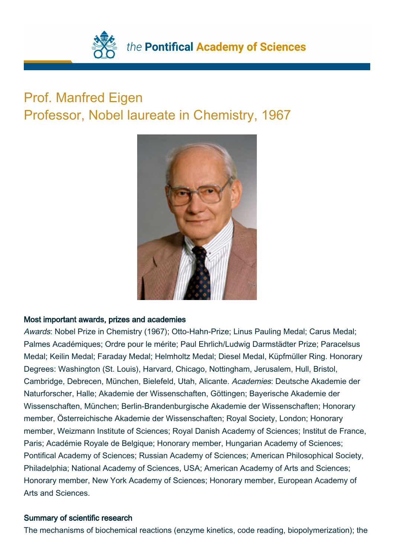

## Prof. Manfred Eigen Professor, Nobel laureate in Chemistry, 1967



## Most important awards, prizes and academies

Awards: Nobel Prize in Chemistry (1967); Otto-Hahn-Prize; Linus Pauling Medal; Carus Medal; Palmes Académiques; Ordre pour le mérite; Paul Ehrlich/Ludwig Darmstädter Prize; Paracelsus Medal; Keilin Medal; Faraday Medal; Helmholtz Medal; Diesel Medal, Küpfmüller Ring. Honorary Degrees: Washington (St. Louis), Harvard, Chicago, Nottingham, Jerusalem, Hull, Bristol, Cambridge, Debrecen, München, Bielefeld, Utah, Alicante. Academies: Deutsche Akademie der Naturforscher, Halle; Akademie der Wissenschaften, Göttingen; Bayerische Akademie der Wissenschaften, München; Berlin-Brandenburgische Akademie der Wissenschaften; Honorary member, Österreichische Akademie der Wissenschaften; Royal Society, London; Honorary member, Weizmann Institute of Sciences; Royal Danish Academy of Sciences; Institut de France, Paris; Académie Royale de Belgique; Honorary member, Hungarian Academy of Sciences; Pontifical Academy of Sciences; Russian Academy of Sciences; American Philosophical Society, Philadelphia; National Academy of Sciences, USA; American Academy of Arts and Sciences; Honorary member, New York Academy of Sciences; Honorary member, European Academy of Arts and Sciences.

## Summary of scientific research

The mechanisms of biochemical reactions (enzyme kinetics, code reading, biopolymerization); the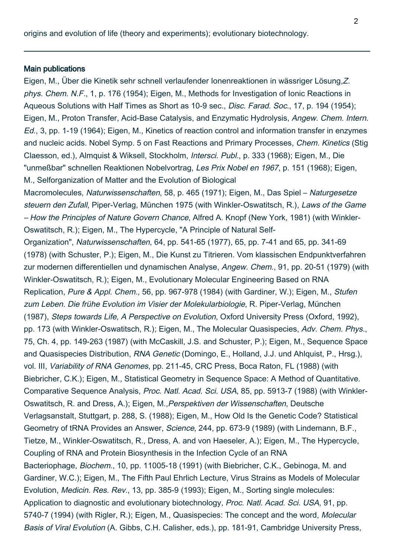origins and evolution of life (theory and experiments); evolutionary biotechnology.

## Main publications

Eigen, M., Über die Kinetik sehr schnell verlaufender Ionenreaktionen in wässriger Lösung,Z. phys. Chem. N.F., 1, p. 176 (1954); Eigen, M., Methods for Investigation of Ionic Reactions in Aqueous Solutions with Half Times as Short as 10-9 sec., *Disc. Farad. Soc.*, 17, p. 194 (1954); Eigen, M., Proton Transfer, Acid-Base Catalysis, and Enzymatic Hydrolysis, Angew. Chem. Intern. Ed., 3, pp. 1-19 (1964); Eigen, M., Kinetics of reaction control and information transfer in enzymes and nucleic acids. Nobel Symp. 5 on Fast Reactions and Primary Processes, Chem. Kinetics (Stig Claesson, ed.), Almquist & Wiksell, Stockholm, Intersci. Publ., p. 333 (1968); Eigen, M., Die "unmeßbar" schnellen Reaktionen Nobelvortrag, Les Prix Nobel en 1967, p. 151 (1968); Eigen, M., Selforganization of Matter and the Evolution of Biological

Macromolecules, Naturwissenschaften, 58, p. 465 (1971); Eigen, M., Das Spiel – Naturgesetze steuern den Zufall, Piper-Verlag, München 1975 (with Winkler-Oswatitsch, R.), Laws of the Game – How the Principles of Nature Govern Chance, Alfred A. Knopf (New York, 1981) (with Winkler-Oswatitsch, R.); Eigen, M., The Hypercycle, "A Principle of Natural Self-

Organization", Naturwissenschaften, 64, pp. 541-65 (1977), 65, pp. 7-41 and 65, pp. 341-69 (1978) (with Schuster, P.); Eigen, M., Die Kunst zu Titrieren. Vom klassischen Endpunktverfahren zur modernen differentiellen und dynamischen Analyse, Angew. Chem., 91, pp. 20-51 (1979) (with Winkler-Oswatitsch, R.); Eigen, M., Evolutionary Molecular Engineering Based on RNA Replication, Pure & Appl. Chem., 56, pp. 967-978 (1984) (with Gardiner, W.); Eigen, M., Stufen zum Leben. Die frühe Evolution im Visier der Molekularbiologie, R. Piper-Verlag, München (1987), Steps towards Life, A Perspective on Evolution, Oxford University Press (Oxford, 1992), pp. 173 (with Winkler-Oswatitsch, R.); Eigen, M., The Molecular Quasispecies, Adv. Chem. Phys., 75, Ch. 4, pp. 149-263 (1987) (with McCaskill, J.S. and Schuster, P.); Eigen, M., Sequence Space and Quasispecies Distribution, RNA Genetic (Domingo, E., Holland, J.J. und Ahlquist, P., Hrsg.), vol. III, Variability of RNA Genomes, pp. 211-45, CRC Press, Boca Raton, FL (1988) (with Biebricher, C.K.); Eigen, M., Statistical Geometry in Sequence Space: A Method of Quantitative. Comparative Sequence Analysis, Proc. Natl. Acad. Sci. USA, 85, pp. 5913-7 (1988) (with Winkler-Oswatitsch, R. and Dress, A.); Eigen, M.,Perspektiven der Wissenschaften, Deutsche Verlagsanstalt, Stuttgart, p. 288, S. (1988); Eigen, M., How Old Is the Genetic Code? Statistical Geometry of tRNA Provides an Answer, Science, 244, pp. 673-9 (1989) (with Lindemann, B.F., Tietze, M., Winkler-Oswatitsch, R., Dress, A. and von Haeseler, A.); Eigen, M., The Hypercycle, Coupling of RNA and Protein Biosynthesis in the Infection Cycle of an RNA Bacteriophage, Biochem., 10, pp. 11005-18 (1991) (with Biebricher, C.K., Gebinoga, M. and Gardiner, W.C.); Eigen, M., The Fifth Paul Ehrlich Lecture, Virus Strains as Models of Molecular Evolution, Medicin. Res. Rev., 13, pp. 385-9 (1993); Eigen, M., Sorting single molecules: Application to diagnostic and evolutionary biotechnology, Proc. Natl. Acad. Sci. USA, 91, pp. 5740-7 (1994) (with Rigler, R.); Eigen, M., Quasispecies: The concept and the word, Molecular Basis of Viral Evolution (A. Gibbs, C.H. Calisher, eds.), pp. 181-91, Cambridge University Press,